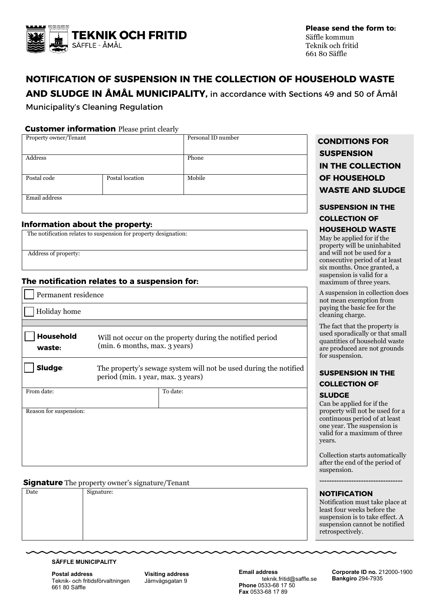

**Please send the form to:** Säffle kommun Teknik och fritid 661 80 Säffle

# **NOTIFICATION OF SUSPENSION IN THE COLLECTION OF HOUSEHOLD WASTE**

**AND SLUDGE IN ÅMÅL MUNICIPALITY,** in accordance with Sections 49 and 50 of Åmål

Municipality's Cleaning Regulation

#### **Customer information** Please print clearly

| Property owner/Tenant |                 | Personal ID number |  |
|-----------------------|-----------------|--------------------|--|
|                       |                 |                    |  |
| Address               |                 | Phone              |  |
|                       |                 |                    |  |
| Postal code           | Postal location | Mobile             |  |
|                       |                 |                    |  |
| Email address         |                 |                    |  |
|                       |                 |                    |  |

#### **Information about the property:**

|  |  | The notification relates to suspension for property designation: |
|--|--|------------------------------------------------------------------|

Address of property:

### **The notification relates to a suspension for:**

| Permanent residence        |                                                                                                         |  |  |  |  |
|----------------------------|---------------------------------------------------------------------------------------------------------|--|--|--|--|
| Holiday home               |                                                                                                         |  |  |  |  |
|                            |                                                                                                         |  |  |  |  |
| <b>Household</b><br>waste: | Will not occur on the property during the notified period<br>(min. 6 months, max. 3 years)              |  |  |  |  |
| <b>Sludge</b>              | The property's sewage system will not be used during the notified<br>period (min. 1 year, max. 3 years) |  |  |  |  |
| From date:                 | To date:                                                                                                |  |  |  |  |
| Reason for suspension:     |                                                                                                         |  |  |  |  |

#### **Signature** The property owner's signature/Tenant

|      | $\cdot$    |                |
|------|------------|----------------|
| Date | Signature: | <b>NOTIFIC</b> |
|      |            | Notificatio    |
|      |            | least four v   |
|      |            | suspension     |
|      |            | suspension     |
|      |            | retrospecti    |
|      |            |                |

#### **SÄFFLE MUNICIPALITY**

**Postal address** Teknik- och fritidsförvaltningen 661 80 Säffle

**Visiting address** Järnvägsgatan 9

**Email address** teknik.fritid@saffle.se **Phone** 0533-68 17 50 **Fax** 0533-68 17 89

Property owner/Tenant Personal ID number **CONDITIONS FOR SUSPENSION IN THE COLLECTION OF HOUSEHOLD WASTE AND SLUDGE**

# **SUSPENSION IN THE COLLECTION OF**

#### **HOUSEHOLD WASTE**

May be applied for if the property will be uninhabited and will not be used for a consecutive period of at least six months. Once granted, a suspension is valid for a maximum of three years.

A suspension in collection does not mean exemption from paying the basic fee for the cleaning charge.

The fact that the property is used sporadically or that small quantities of household waste are produced are not grounds for suspension.

# **SUSPENSION IN THE COLLECTION OF**

#### **SLUDGE**

Can be applied for if the property will not be used for a continuous period of at least one year. The suspension is valid for a maximum of three years.

Collection starts automatically after the end of the period of suspension.

**----------------------------------**

#### **ATION**

n must take place at veeks before the n is to take effect. A n cannot be notified vely.

> **Corporate ID no.** 212000-1900 **Bankgiro** 294-7935